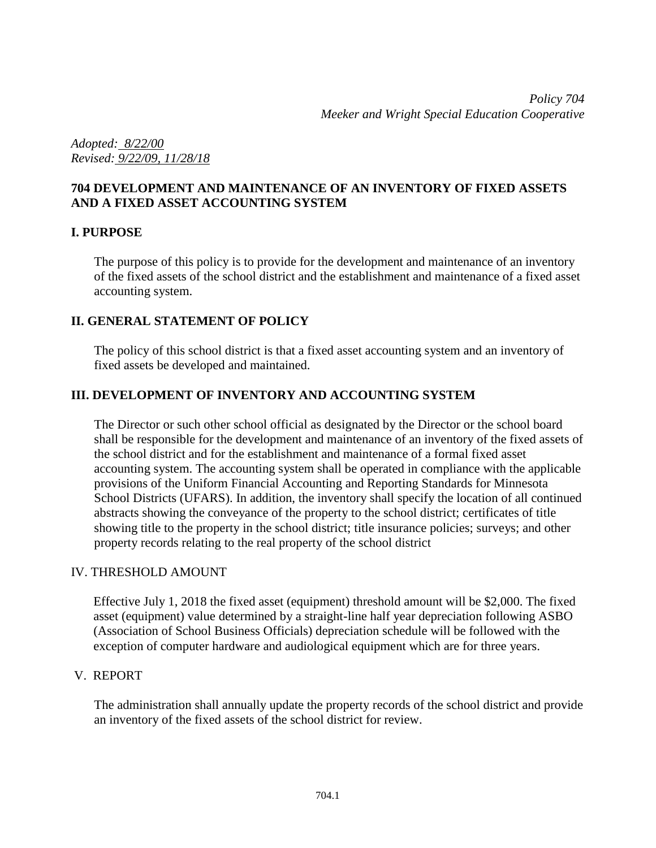*Adopted: 8/22/00 Revised: 9/22/09, 11/28/18*

#### **704 DEVELOPMENT AND MAINTENANCE OF AN INVENTORY OF FIXED ASSETS AND A FIXED ASSET ACCOUNTING SYSTEM**

## **I. PURPOSE**

The purpose of this policy is to provide for the development and maintenance of an inventory of the fixed assets of the school district and the establishment and maintenance of a fixed asset accounting system.

## **II. GENERAL STATEMENT OF POLICY**

The policy of this school district is that a fixed asset accounting system and an inventory of fixed assets be developed and maintained.

## **III. DEVELOPMENT OF INVENTORY AND ACCOUNTING SYSTEM**

The Director or such other school official as designated by the Director or the school board shall be responsible for the development and maintenance of an inventory of the fixed assets of the school district and for the establishment and maintenance of a formal fixed asset accounting system. The accounting system shall be operated in compliance with the applicable provisions of the Uniform Financial Accounting and Reporting Standards for Minnesota School Districts (UFARS). In addition, the inventory shall specify the location of all continued abstracts showing the conveyance of the property to the school district; certificates of title showing title to the property in the school district; title insurance policies; surveys; and other property records relating to the real property of the school district

#### IV. THRESHOLD AMOUNT

Effective July 1, 2018 the fixed asset (equipment) threshold amount will be \$2,000. The fixed asset (equipment) value determined by a straight-line half year depreciation following ASBO (Association of School Business Officials) depreciation schedule will be followed with the exception of computer hardware and audiological equipment which are for three years.

#### V. REPORT

The administration shall annually update the property records of the school district and provide an inventory of the fixed assets of the school district for review.